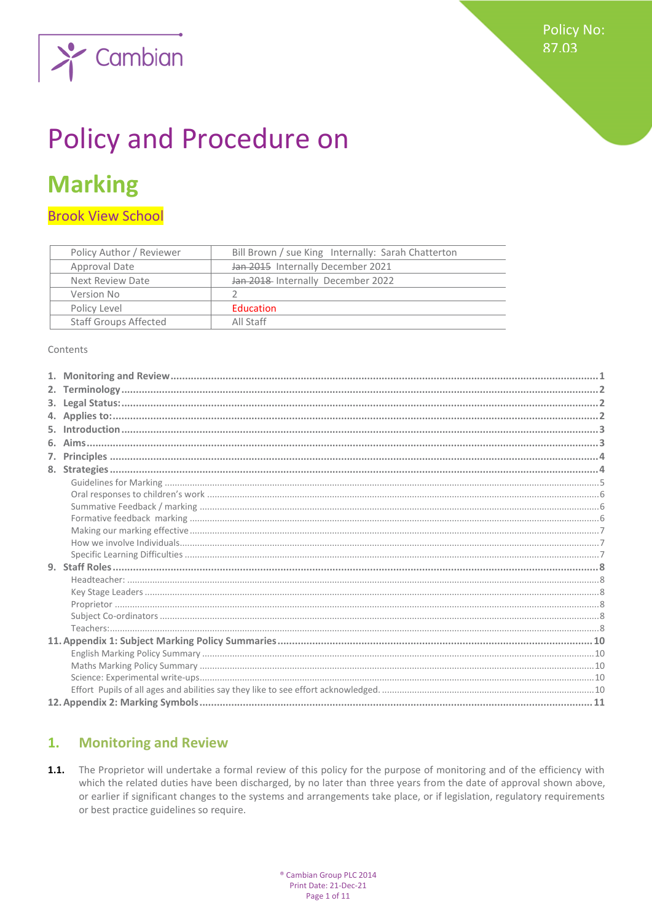

# **Policy and Procedure on**

## **Marking**

**Brook View School** 

| Policy Author / Reviewer     | Bill Brown / sue King Internally: Sarah Chatterton |
|------------------------------|----------------------------------------------------|
| Approval Date                | Jan 2015 Internally December 2021                  |
| Next Review Date             | Jan 2018 Internally December 2022                  |
| Version No                   |                                                    |
| Policy Level                 | <b>Education</b>                                   |
| <b>Staff Groups Affected</b> | All Staff                                          |

Contents

#### <span id="page-0-0"></span>**Monitoring and Review**  $1.$

The Proprietor will undertake a formal review of this policy for the purpose of monitoring and of the efficiency with  $1.1.$ which the related duties have been discharged, by no later than three years from the date of approval shown above, or earlier if significant changes to the systems and arrangements take place, or if legislation, regulatory requirements or best practice guidelines so require.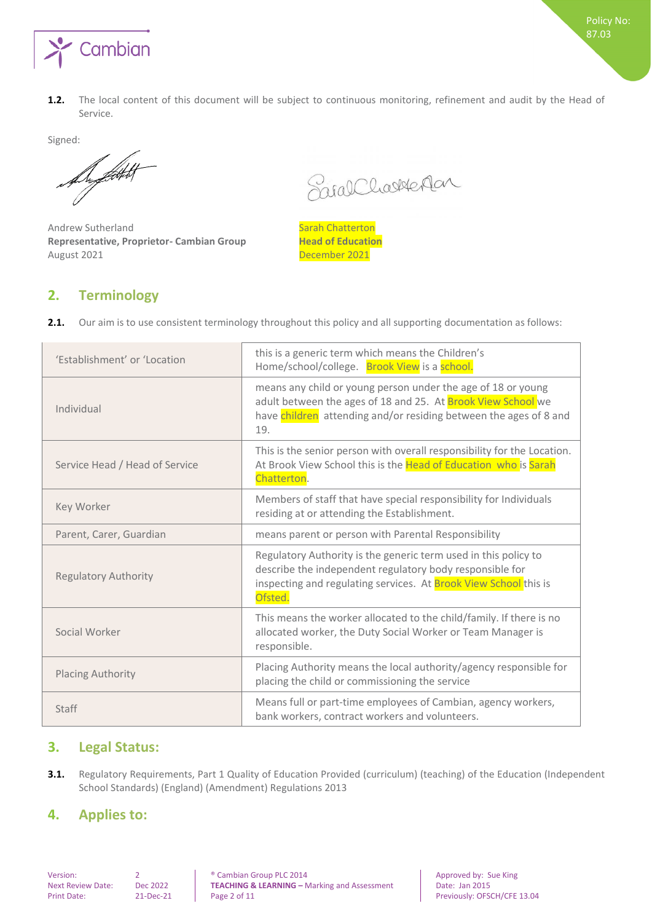

Signed:

Superficient

Andrew Sutherland Sarah Chatterton **Representative, Proprietor- Cambian Group Head of Education** August 2021 December 2021

SaralCharledan

Policy No: 87.03

## <span id="page-1-0"></span>**2. Terminology**

|  |  | 2.1. Our aim is to use consistent terminology throughout this policy and all supporting documentation as follows: |  |  |  |  |
|--|--|-------------------------------------------------------------------------------------------------------------------|--|--|--|--|
|--|--|-------------------------------------------------------------------------------------------------------------------|--|--|--|--|

| 'Establishment' or 'Location   | this is a generic term which means the Children's<br>Home/school/college. Brook View is a school.                                                                                                                 |
|--------------------------------|-------------------------------------------------------------------------------------------------------------------------------------------------------------------------------------------------------------------|
| Individual                     | means any child or young person under the age of 18 or young<br>adult between the ages of 18 and 25. At Brook View School we<br>have children attending and/or residing between the ages of 8 and<br>19.          |
| Service Head / Head of Service | This is the senior person with overall responsibility for the Location.<br>At Brook View School this is the Head of Education who is Sarah<br>Chatterton.                                                         |
| Key Worker                     | Members of staff that have special responsibility for Individuals<br>residing at or attending the Establishment.                                                                                                  |
| Parent, Carer, Guardian        | means parent or person with Parental Responsibility                                                                                                                                                               |
| <b>Regulatory Authority</b>    | Regulatory Authority is the generic term used in this policy to<br>describe the independent regulatory body responsible for<br>inspecting and regulating services. At <b>Brook View School</b> this is<br>Ofsted. |
| Social Worker                  | This means the worker allocated to the child/family. If there is no<br>allocated worker, the Duty Social Worker or Team Manager is<br>responsible.                                                                |
| <b>Placing Authority</b>       | Placing Authority means the local authority/agency responsible for<br>placing the child or commissioning the service                                                                                              |
| Staff                          | Means full or part-time employees of Cambian, agency workers,<br>bank workers, contract workers and volunteers.                                                                                                   |

## <span id="page-1-1"></span>**3. Legal Status:**

**3.1.** Regulatory Requirements, Part 1 Quality of Education Provided (curriculum) (teaching) of the Education (Independent School Standards) (England) (Amendment) Regulations 2013

## <span id="page-1-2"></span>**4. Applies to:**

Version: 2 2 Sue King & Cambian Group PLC 2014<br> **TEACHING & LEARNING** - Marking and Assessment Date: Jan 2015 TEACHING & LEARNING - Marking and Assessment Print Date: 21-Dec-21 Page 2 of 11 Previously: OFSCH/CFE 13.04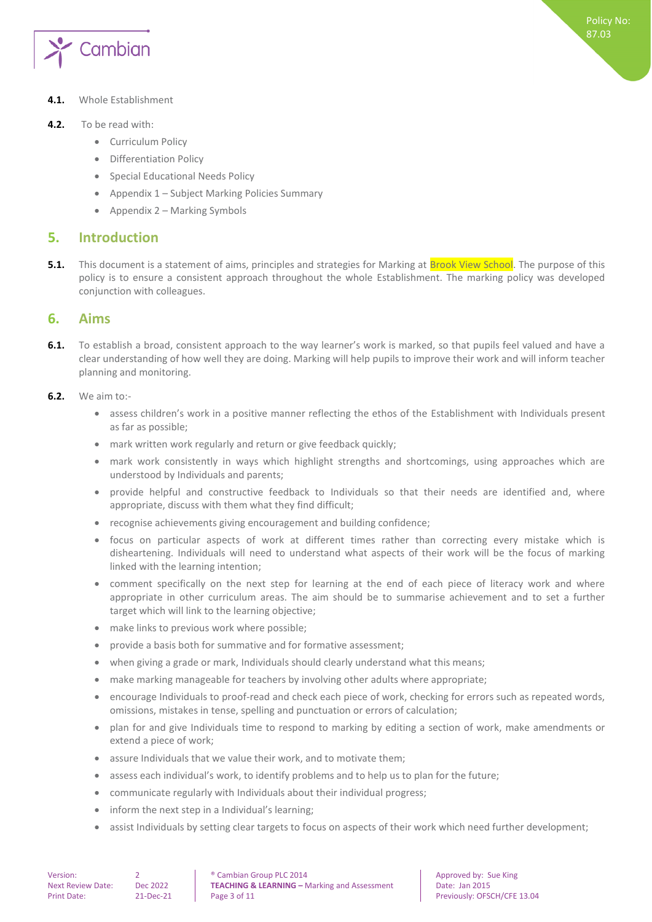

#### **4.1.** Whole Establishment

#### **4.2.** To be read with:

- Curriculum Policy
- Differentiation Policy
- Special Educational Needs Policy
- Appendix 1 Subject Marking Policies Summary
- <span id="page-2-0"></span>• Appendix  $2 -$  Marking Symbols

## **5. Introduction**

**5.1.** This document is a statement of aims, principles and strategies for Marking at **Brook View School**. The purpose of this policy is to ensure a consistent approach throughout the whole Establishment. The marking policy was developed conjunction with colleagues.

## <span id="page-2-1"></span>**6. Aims**

**6.1.** To establish a broad, consistent approach to the way learner's work is marked, so that pupils feel valued and have a clear understanding of how well they are doing. Marking will help pupils to improve their work and will inform teacher planning and monitoring.

#### **6.2.** We aim to:-

- assess children's work in a positive manner reflecting the ethos of the Establishment with Individuals present as far as possible;
- mark written work regularly and return or give feedback quickly;
- mark work consistently in ways which highlight strengths and shortcomings, using approaches which are understood by Individuals and parents;
- provide helpful and constructive feedback to Individuals so that their needs are identified and, where appropriate, discuss with them what they find difficult;
- recognise achievements giving encouragement and building confidence;
- focus on particular aspects of work at different times rather than correcting every mistake which is disheartening. Individuals will need to understand what aspects of their work will be the focus of marking linked with the learning intention;
- comment specifically on the next step for learning at the end of each piece of literacy work and where appropriate in other curriculum areas. The aim should be to summarise achievement and to set a further target which will link to the learning objective;
- make links to previous work where possible;
- provide a basis both for summative and for formative assessment;
- when giving a grade or mark, Individuals should clearly understand what this means;
- make marking manageable for teachers by involving other adults where appropriate;
- encourage Individuals to proof-read and check each piece of work, checking for errors such as repeated words, omissions, mistakes in tense, spelling and punctuation or errors of calculation;
- plan for and give Individuals time to respond to marking by editing a section of work, make amendments or extend a piece of work;
- assure Individuals that we value their work, and to motivate them;
- assess each individual's work, to identify problems and to help us to plan for the future;
- communicate regularly with Individuals about their individual progress;
- inform the next step in a Individual's learning;
- assist Individuals by setting clear targets to focus on aspects of their work which need further development;

Version: 2 **2 a e** Cambian Group PLC 2014 **Approved by:** Sue King Next Review Date: Dec 2022 **TEACHING & LEARNING –** Marking and Assessment Date: Jan 2015 Print Date: 21-Dec-21 Page 3 of 11 Page 1 and 21-Dec-21 Previously: OFSCH/CFE 13.04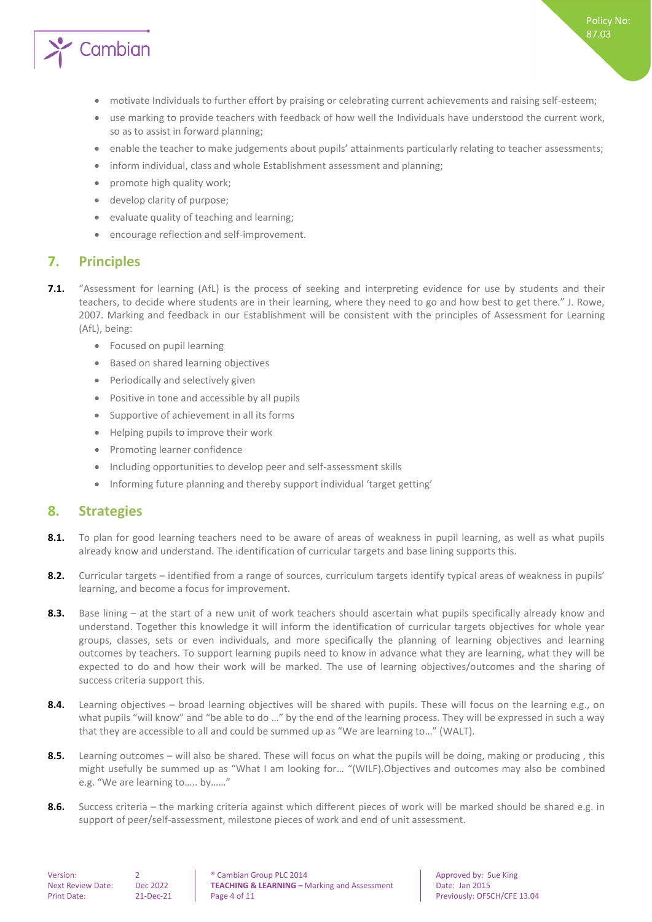

- motivate Individuals to further effort by praising or celebrating current achievements and raising self-esteem;
- use marking to provide teachers with feedback of how well the Individuals have understood the current work, so as to assist in forward planning;
- enable the teacher to make judgements about pupils' attainments particularly relating to teacher assessments;
- inform individual, class and whole Establishment assessment and planning;
- promote high quality work;
- develop clarity of purpose;
- evaluate quality of teaching and learning;
- <span id="page-3-0"></span>encourage reflection and self-improvement.

## **7. Principles**

- **7.1.** "Assessment for learning (AfL) is the process of seeking and interpreting evidence for use by students and their teachers, to decide where students are in their learning, where they need to go and how best to get there." J. Rowe, 2007. Marking and feedback in our Establishment will be consistent with the principles of Assessment for Learning (AfL), being:
	- Focused on pupil learning
	- Based on shared learning objectives
	- Periodically and selectively given
	- Positive in tone and accessible by all pupils
	- Supportive of achievement in all its forms
	- Helping pupils to improve their work
	- Promoting learner confidence
	- Including opportunities to develop peer and self-assessment skills
	- Informing future planning and thereby support individual 'target getting'

## <span id="page-3-1"></span>**8. Strategies**

- **8.1.** To plan for good learning teachers need to be aware of areas of weakness in pupil learning, as well as what pupils already know and understand. The identification of curricular targets and base lining supports this.
- **8.2.** Curricular targets identified from a range of sources, curriculum targets identify typical areas of weakness in pupils' learning, and become a focus for improvement.
- **8.3.** Base lining at the start of a new unit of work teachers should ascertain what pupils specifically already know and understand. Together this knowledge it will inform the identification of curricular targets objectives for whole year groups, classes, sets or even individuals, and more specifically the planning of learning objectives and learning outcomes by teachers. To support learning pupils need to know in advance what they are learning, what they will be expected to do and how their work will be marked. The use of learning objectives/outcomes and the sharing of success criteria support this.
- 8.4. Learning objectives broad learning objectives will be shared with pupils. These will focus on the learning e.g., on what pupils "will know" and "be able to do ..." by the end of the learning process. They will be expressed in such a way that they are accessible to all and could be summed up as "We are learning to…" (WALT).
- **8.5.** Learning outcomes will also be shared. These will focus on what the pupils will be doing, making or producing , this might usefully be summed up as "What I am looking for… "(WILF).Objectives and outcomes may also be combined e.g. "We are learning to….. by……"
- **8.6.** Success criteria the marking criteria against which different pieces of work will be marked should be shared e.g. in support of peer/self-assessment, milestone pieces of work and end of unit assessment.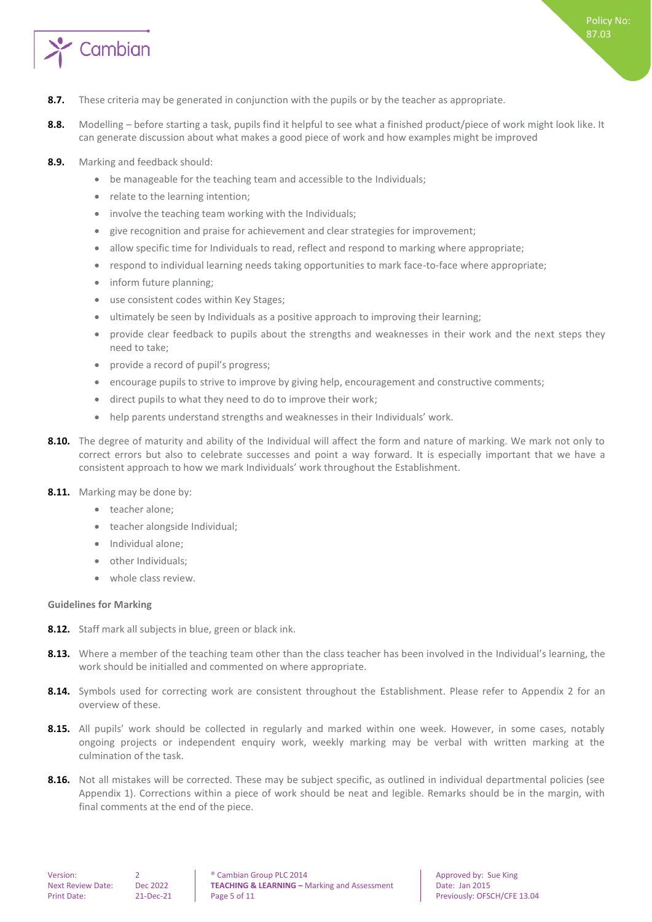

- **8.7.** These criteria may be generated in conjunction with the pupils or by the teacher as appropriate.
- **8.8.** Modelling before starting a task, pupils find it helpful to see what a finished product/piece of work might look like. It can generate discussion about what makes a good piece of work and how examples might be improved
- **8.9.** Marking and feedback should:
	- be manageable for the teaching team and accessible to the Individuals;
	- relate to the learning intention;
	- involve the teaching team working with the Individuals;
	- give recognition and praise for achievement and clear strategies for improvement;
	- allow specific time for Individuals to read, reflect and respond to marking where appropriate;
	- respond to individual learning needs taking opportunities to mark face-to-face where appropriate;
	- inform future planning;
	- use consistent codes within Key Stages;
	- ultimately be seen by Individuals as a positive approach to improving their learning;
	- provide clear feedback to pupils about the strengths and weaknesses in their work and the next steps they need to take;
	- provide a record of pupil's progress;
	- encourage pupils to strive to improve by giving help, encouragement and constructive comments;
	- direct pupils to what they need to do to improve their work;
	- help parents understand strengths and weaknesses in their Individuals' work.
- 8.10. The degree of maturity and ability of the Individual will affect the form and nature of marking. We mark not only to correct errors but also to celebrate successes and point a way forward. It is especially important that we have a consistent approach to how we mark Individuals' work throughout the Establishment.
- **8.11.** Marking may be done by:
	- teacher alone;
	- teacher alongside Individual;
	- Individual alone;
	- other Individuals;
	- whole class review.

#### <span id="page-4-0"></span>**Guidelines for Marking**

- **8.12.** Staff mark all subjects in blue, green or black ink.
- 8.13. Where a member of the teaching team other than the class teacher has been involved in the Individual's learning, the work should be initialled and commented on where appropriate.
- **8.14.** Symbols used for correcting work are consistent throughout the Establishment. Please refer to Appendix 2 for an overview of these.
- **8.15.** All pupils' work should be collected in regularly and marked within one week. However, in some cases, notably ongoing projects or independent enquiry work, weekly marking may be verbal with written marking at the culmination of the task.
- **8.16.** Not all mistakes will be corrected. These may be subject specific, as outlined in individual departmental policies (see Appendix 1). Corrections within a piece of work should be neat and legible. Remarks should be in the margin, with final comments at the end of the piece.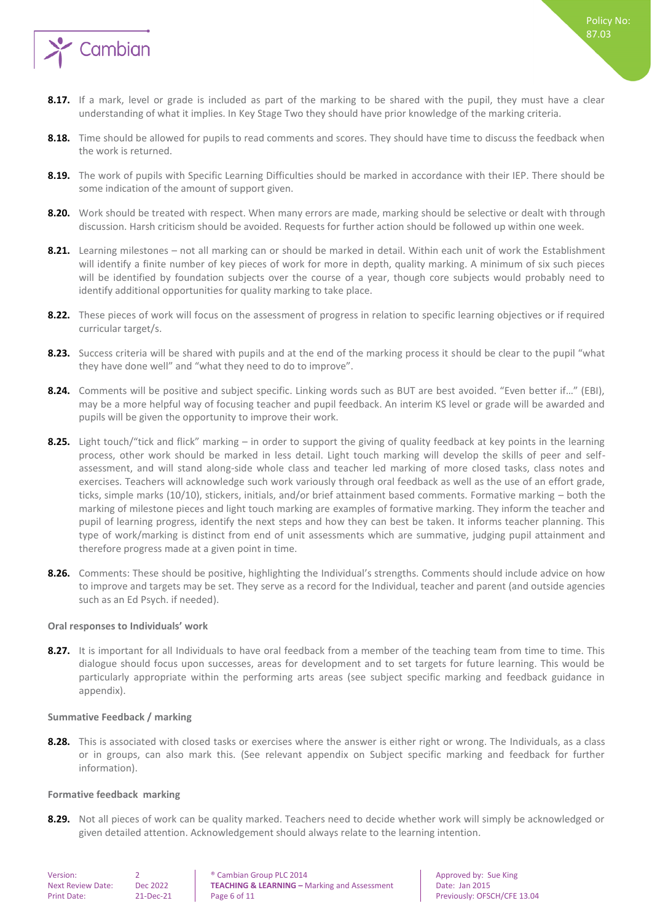

- **8.18.** Time should be allowed for pupils to read comments and scores. They should have time to discuss the feedback when the work is returned.
- **8.19.** The work of pupils with Specific Learning Difficulties should be marked in accordance with their IEP. There should be some indication of the amount of support given.
- **8.20.** Work should be treated with respect. When many errors are made, marking should be selective or dealt with through discussion. Harsh criticism should be avoided. Requests for further action should be followed up within one week.
- **8.21.** Learning milestones not all marking can or should be marked in detail. Within each unit of work the Establishment will identify a finite number of key pieces of work for more in depth, quality marking. A minimum of six such pieces will be identified by foundation subjects over the course of a year, though core subjects would probably need to identify additional opportunities for quality marking to take place.
- **8.22.** These pieces of work will focus on the assessment of progress in relation to specific learning objectives or if required curricular target/s.
- **8.23.** Success criteria will be shared with pupils and at the end of the marking process it should be clear to the pupil "what they have done well" and "what they need to do to improve".
- **8.24.** Comments will be positive and subject specific. Linking words such as BUT are best avoided. "Even better if…" (EBI), may be a more helpful way of focusing teacher and pupil feedback. An interim KS level or grade will be awarded and pupils will be given the opportunity to improve their work.
- **8.25.** Light touch/"tick and flick" marking in order to support the giving of quality feedback at key points in the learning process, other work should be marked in less detail. Light touch marking will develop the skills of peer and selfassessment, and will stand along-side whole class and teacher led marking of more closed tasks, class notes and exercises. Teachers will acknowledge such work variously through oral feedback as well as the use of an effort grade, ticks, simple marks (10/10), stickers, initials, and/or brief attainment based comments. Formative marking – both the marking of milestone pieces and light touch marking are examples of formative marking. They inform the teacher and pupil of learning progress, identify the next steps and how they can best be taken. It informs teacher planning. This type of work/marking is distinct from end of unit assessments which are summative, judging pupil attainment and therefore progress made at a given point in time.
- **8.26.** Comments: These should be positive, highlighting the Individual's strengths. Comments should include advice on how to improve and targets may be set. They serve as a record for the Individual, teacher and parent (and outside agencies such as an Ed Psych. if needed).

#### <span id="page-5-0"></span>**Oral responses to Individuals' work**

8.27. It is important for all Individuals to have oral feedback from a member of the teaching team from time to time. This dialogue should focus upon successes, areas for development and to set targets for future learning. This would be particularly appropriate within the performing arts areas (see subject specific marking and feedback guidance in appendix).

#### <span id="page-5-1"></span>**Summative Feedback / marking**

**8.28.** This is associated with closed tasks or exercises where the answer is either right or wrong. The Individuals, as a class or in groups, can also mark this. (See relevant appendix on Subject specific marking and feedback for further information).

#### <span id="page-5-2"></span>**Formative feedback marking**

**8.29.** Not all pieces of work can be quality marked. Teachers need to decide whether work will simply be acknowledged or given detailed attention. Acknowledgement should always relate to the learning intention.

Version: 2 **2 a e** Cambian Group PLC 2014 **Approved by:** Sue King Next Review Date: Dec 2022 **TEACHING & LEARNING –** Marking and Assessment Date: Jan 2015 Print Date: 21-Dec-21 | Page 6 of 11 Previously: OFSCH/CFE 13.04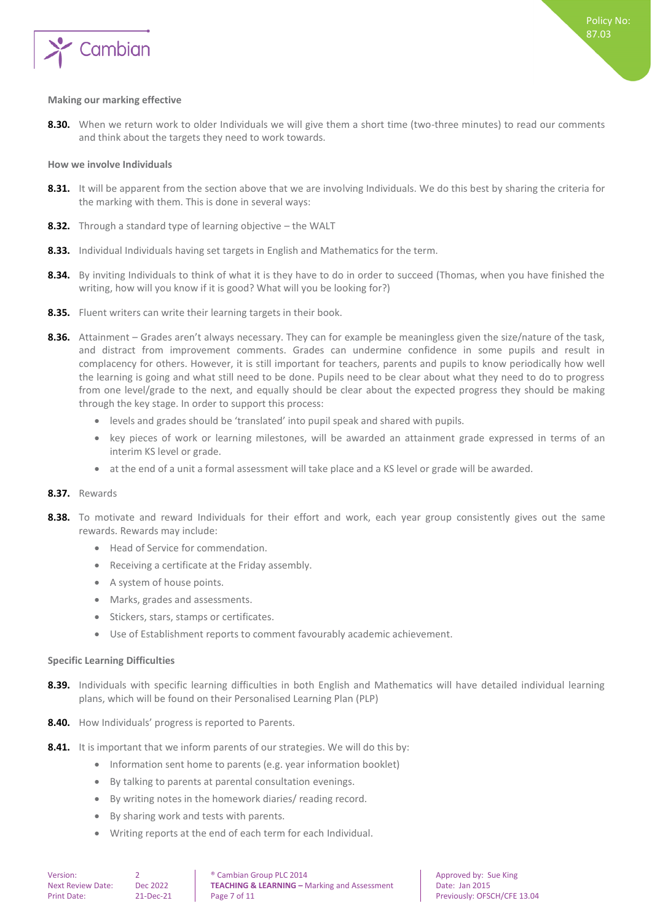

#### <span id="page-6-0"></span>**Making our marking effective**

**8.30.** When we return work to older Individuals we will give them a short time (two-three minutes) to read our comments and think about the targets they need to work towards.

#### <span id="page-6-1"></span>**How we involve Individuals**

- 8.31. It will be apparent from the section above that we are involving Individuals. We do this best by sharing the criteria for the marking with them. This is done in several ways:
- **8.32.** Through a standard type of learning objective the WALT
- **8.33.** Individual Individuals having set targets in English and Mathematics for the term.
- **8.34.** By inviting Individuals to think of what it is they have to do in order to succeed (Thomas, when you have finished the writing, how will you know if it is good? What will you be looking for?)
- **8.35.** Fluent writers can write their learning targets in their book.
- **8.36.** Attainment Grades aren't always necessary. They can for example be meaningless given the size/nature of the task, and distract from improvement comments. Grades can undermine confidence in some pupils and result in complacency for others. However, it is still important for teachers, parents and pupils to know periodically how well the learning is going and what still need to be done. Pupils need to be clear about what they need to do to progress from one level/grade to the next, and equally should be clear about the expected progress they should be making through the key stage. In order to support this process:
	- levels and grades should be 'translated' into pupil speak and shared with pupils.
	- key pieces of work or learning milestones, will be awarded an attainment grade expressed in terms of an interim KS level or grade.
	- at the end of a unit a formal assessment will take place and a KS level or grade will be awarded.

#### **8.37.** Rewards

- **8.38.** To motivate and reward Individuals for their effort and work, each year group consistently gives out the same rewards. Rewards may include:
	- Head of Service for commendation.
	- Receiving a certificate at the Friday assembly.
	- A system of house points.
	- Marks, grades and assessments.
	- Stickers, stars, stamps or certificates.
	- Use of Establishment reports to comment favourably academic achievement.

#### <span id="page-6-2"></span>**Specific Learning Difficulties**

- **8.39.** Individuals with specific learning difficulties in both English and Mathematics will have detailed individual learning plans, which will be found on their Personalised Learning Plan (PLP)
- **8.40.** How Individuals' progress is reported to Parents.
- **8.41.** It is important that we inform parents of our strategies. We will do this by:
	- Information sent home to parents (e.g. year information booklet)
	- By talking to parents at parental consultation evenings.
	- By writing notes in the homework diaries/ reading record.
	- By sharing work and tests with parents.
	- Writing reports at the end of each term for each Individual.

Version: 2 **2 a e** Cambian Group PLC 2014 **Approved by:** Sue King Next Review Date: Dec 2022 **TEACHING & LEARNING –** Marking and Assessment Date: Jan 2015 Print Date: 21-Dec-21 Page 7 of 11 Previously: OFSCH/CFE 13.04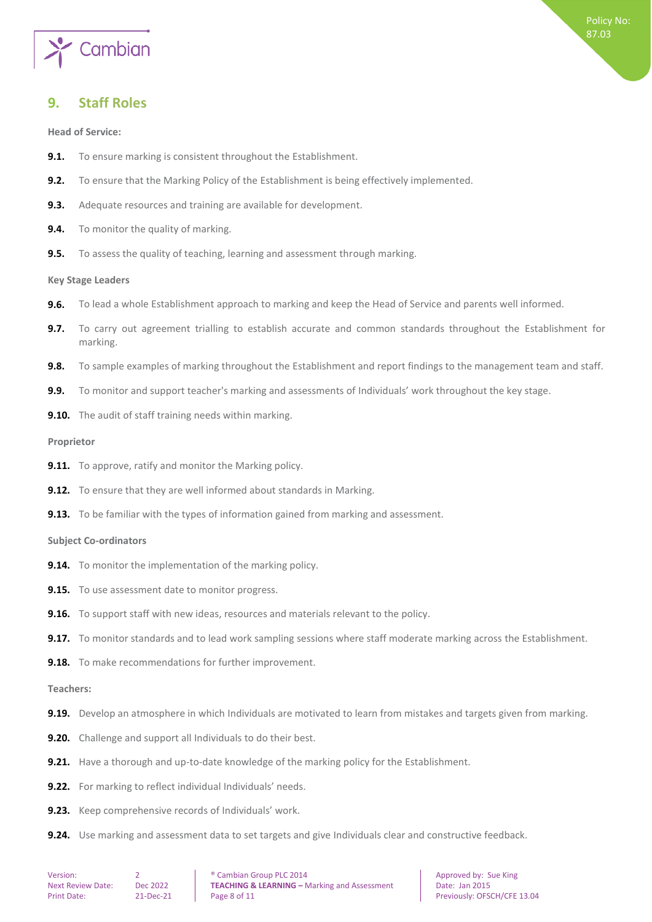

## <span id="page-7-0"></span>**9. Staff Roles**

<span id="page-7-1"></span>**Head of Service:**

- **9.1.** To ensure marking is consistent throughout the Establishment.
- **9.2.** To ensure that the Marking Policy of the Establishment is being effectively implemented.
- **9.3.** Adequate resources and training are available for development.
- **9.4.** To monitor the quality of marking.
- <span id="page-7-2"></span>**9.5.** To assess the quality of teaching, learning and assessment through marking.

#### **Key Stage Leaders**

- **9.6.** To lead a whole Establishment approach to marking and keep the Head of Service and parents well informed.
- **9.7.** To carry out agreement trialling to establish accurate and common standards throughout the Establishment for marking.
- **9.8.** To sample examples of marking throughout the Establishment and report findings to the management team and staff.
- **9.9.** To monitor and support teacher's marking and assessments of Individuals' work throughout the key stage.
- <span id="page-7-3"></span>**9.10.** The audit of staff training needs within marking.

#### **Proprietor**

- **9.11.** To approve, ratify and monitor the Marking policy.
- **9.12.** To ensure that they are well informed about standards in Marking.
- <span id="page-7-4"></span>**9.13.** To be familiar with the types of information gained from marking and assessment.

#### **Subject Co-ordinators**

- **9.14.** To monitor the implementation of the marking policy.
- **9.15.** To use assessment date to monitor progress.
- **9.16.** To support staff with new ideas, resources and materials relevant to the policy.
- **9.17.** To monitor standards and to lead work sampling sessions where staff moderate marking across the Establishment.
- <span id="page-7-5"></span>**9.18.** To make recommendations for further improvement.

#### **Teachers:**

- **9.19.** Develop an atmosphere in which Individuals are motivated to learn from mistakes and targets given from marking.
- **9.20.** Challenge and support all Individuals to do their best.
- **9.21.** Have a thorough and up-to-date knowledge of the marking policy for the Establishment.
- **9.22.** For marking to reflect individual Individuals' needs.
- **9.23.** Keep comprehensive records of Individuals' work.
- **9.24.** Use marking and assessment data to set targets and give Individuals clear and constructive feedback.

Version: 2 **2 a e** Cambian Group PLC 2014 **Approved by:** Sue King Next Review Date: Dec 2022 **TEACHING & LEARNING –** Marking and Assessment Date: Jan 2015 Print Date: 21-Dec-21 Page 8 of 11 Page 1 Previously: OFSCH/CFE 13.04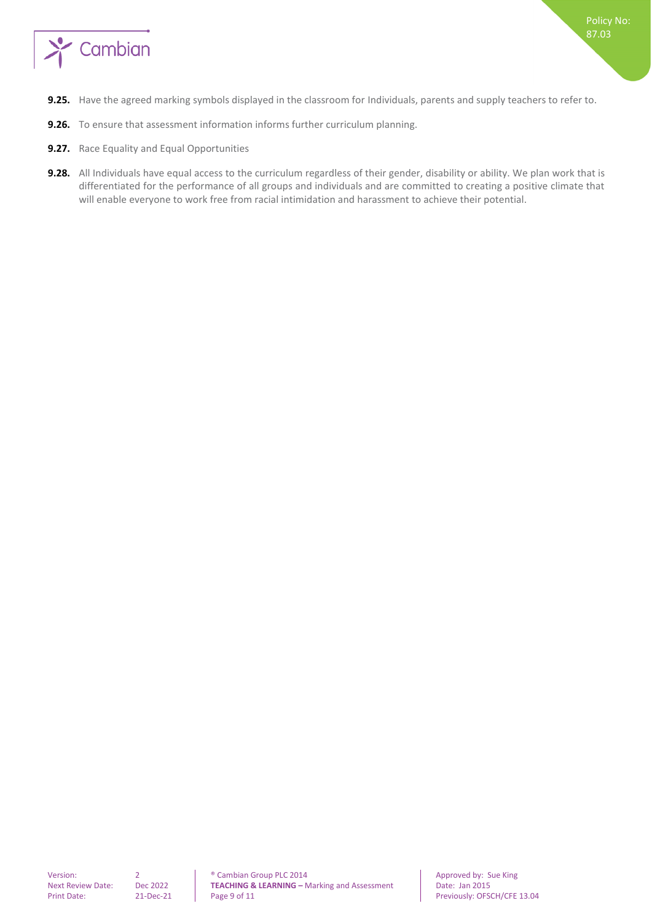

- **9.25.** Have the agreed marking symbols displayed in the classroom for Individuals, parents and supply teachers to refer to.
- **9.26.** To ensure that assessment information informs further curriculum planning.
- **9.27.** Race Equality and Equal Opportunities
- **9.28.** All Individuals have equal access to the curriculum regardless of their gender, disability or ability. We plan work that is differentiated for the performance of all groups and individuals and are committed to creating a positive climate that will enable everyone to work free from racial intimidation and harassment to achieve their potential.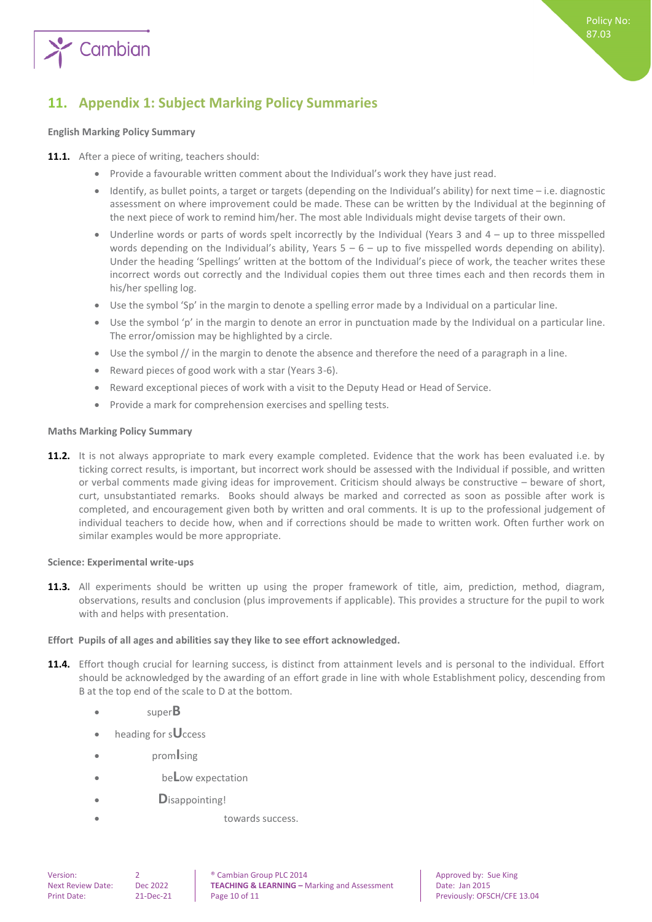

## <span id="page-9-0"></span>**11. Appendix 1: Subject Marking Policy Summaries**

#### <span id="page-9-1"></span>**English Marking Policy Summary**

- 11.1. After a piece of writing, teachers should:
	- Provide a favourable written comment about the Individual's work they have just read.
	- $\bullet$  Identify, as bullet points, a target or targets (depending on the Individual's ability) for next time i.e. diagnostic assessment on where improvement could be made. These can be written by the Individual at the beginning of the next piece of work to remind him/her. The most able Individuals might devise targets of their own.
	- Underline words or parts of words spelt incorrectly by the Individual (Years 3 and 4 up to three misspelled words depending on the Individual's ability, Years  $5 - 6 -$  up to five misspelled words depending on ability). Under the heading 'Spellings' written at the bottom of the Individual's piece of work, the teacher writes these incorrect words out correctly and the Individual copies them out three times each and then records them in his/her spelling log.
	- Use the symbol 'Sp' in the margin to denote a spelling error made by a Individual on a particular line.
	- Use the symbol 'p' in the margin to denote an error in punctuation made by the Individual on a particular line. The error/omission may be highlighted by a circle.
	- Use the symbol // in the margin to denote the absence and therefore the need of a paragraph in a line.
	- Reward pieces of good work with a star (Years 3-6).
	- Reward exceptional pieces of work with a visit to the Deputy Head or Head of Service.
	- Provide a mark for comprehension exercises and spelling tests.

#### <span id="page-9-2"></span>**Maths Marking Policy Summary**

**11.2.** It is not always appropriate to mark every example completed. Evidence that the work has been evaluated i.e. by ticking correct results, is important, but incorrect work should be assessed with the Individual if possible, and written or verbal comments made giving ideas for improvement. Criticism should always be constructive – beware of short, curt, unsubstantiated remarks. Books should always be marked and corrected as soon as possible after work is completed, and encouragement given both by written and oral comments. It is up to the professional judgement of individual teachers to decide how, when and if corrections should be made to written work. Often further work on similar examples would be more appropriate.

#### <span id="page-9-3"></span>**Science: Experimental write-ups**

**11.3.** All experiments should be written up using the proper framework of title, aim, prediction, method, diagram, observations, results and conclusion (plus improvements if applicable). This provides a structure for the pupil to work with and helps with presentation.

#### <span id="page-9-4"></span>**Effort Pupils of all ages and abilities say they like to see effort acknowledged.**

- **11.4.** Effort though crucial for learning success, is distinct from attainment levels and is personal to the individual. Effort should be acknowledged by the awarding of an effort grade in line with whole Establishment policy, descending from B at the top end of the scale to D at the bottom.
	- super**B**
	- heading for s**U**ccess
	- prom**I**sing
	- be**L**ow expectation
	- **D**isappointing!
		- towards success.